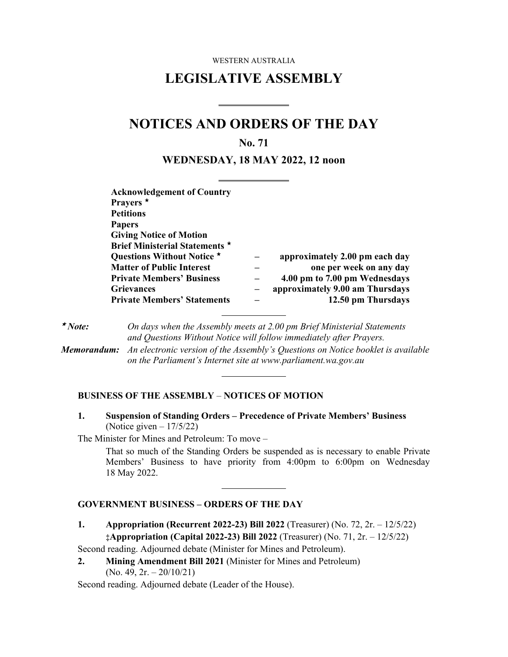WESTERN AUSTRALIA

# **LEGISLATIVE ASSEMBLY**

# **NOTICES AND ORDERS OF THE DAY**

 $\overline{a}$ 

 $\overline{a}$ 

### **No. 71**

#### **WEDNESDAY, 18 MAY 2022, 12 noon**

| <b>Acknowledgement of Country</b>  |                                 |
|------------------------------------|---------------------------------|
| Prayers <sup>*</sup>               |                                 |
| <b>Petitions</b>                   |                                 |
| <b>Papers</b>                      |                                 |
| <b>Giving Notice of Motion</b>     |                                 |
| Brief Ministerial Statements *     |                                 |
| Questions Without Notice *         | approximately 2.00 pm each day  |
| <b>Matter of Public Interest</b>   | one per week on any day         |
| <b>Private Members' Business</b>   | 4.00 pm to 7.00 pm Wednesdays   |
| <b>Grievances</b>                  | approximately 9.00 am Thursdays |
| <b>Private Members' Statements</b> | 12.50 pm Thursdays              |

 $\star$  Note: *Note: On days when the Assembly meets at 2.00 pm Brief Ministerial Statements and Questions Without Notice will follow immediately after Prayers. Memorandum: An electronic version of the Assembly's Questions on Notice booklet is available on the Parliament's Internet site at www.parliament.wa.gov.au* 

 $\overline{a}$ 

#### **BUSINESS OF THE ASSEMBLY** – **NOTICES OF MOTION**

**1. Suspension of Standing Orders – Precedence of Private Members' Business** (Notice given  $-17/5/22$ )

The Minister for Mines and Petroleum: To move –

That so much of the Standing Orders be suspended as is necessary to enable Private Members' Business to have priority from 4:00pm to 6:00pm on Wednesday 18 May 2022.

#### **GOVERNMENT BUSINESS – ORDERS OF THE DAY**

**1. Appropriation (Recurrent 2022-23) Bill 2022** (Treasurer) (No. 72, 2r. – 12/5/22) **‡Appropriation (Capital 2022-23) Bill 2022** (Treasurer) (No. 71, 2r. – 12/5/22)

Second reading. Adjourned debate (Minister for Mines and Petroleum).

**2. Mining Amendment Bill 2021** (Minister for Mines and Petroleum)  $(No. 49, 2r. - 20/10/21)$ 

 $\overline{a}$ 

Second reading. Adjourned debate (Leader of the House).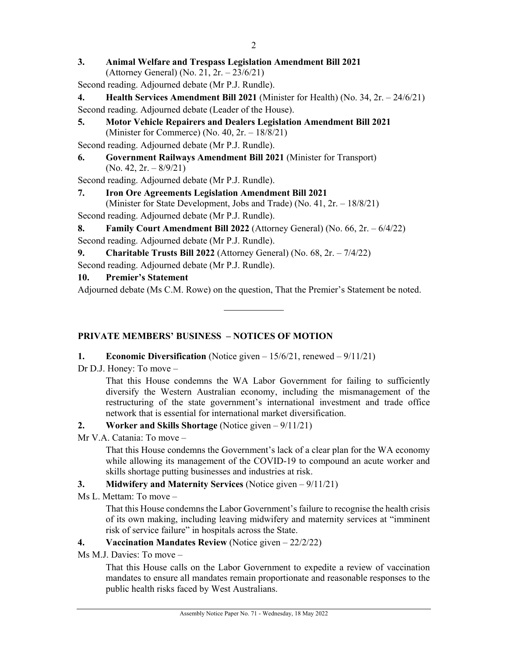- **3. Animal Welfare and Trespass Legislation Amendment Bill 2021**  (Attorney General) (No. 21, 2r. – 23/6/21)
- Second reading. Adjourned debate (Mr P.J. Rundle).
- **4. Health Services Amendment Bill 2021** (Minister for Health) (No. 34, 2r. 24/6/21) Second reading. Adjourned debate (Leader of the House).
- **5. Motor Vehicle Repairers and Dealers Legislation Amendment Bill 2021**  (Minister for Commerce) (No. 40, 2r. – 18/8/21)

Second reading. Adjourned debate (Mr P.J. Rundle).

**6. Government Railways Amendment Bill 2021** (Minister for Transport)  $(No. 42, 2r. - 8/9/21)$ 

Second reading. Adjourned debate (Mr P.J. Rundle).

## **7. Iron Ore Agreements Legislation Amendment Bill 2021**

(Minister for State Development, Jobs and Trade) (No. 41, 2r. – 18/8/21)

Second reading. Adjourned debate (Mr P.J. Rundle).

**8. Family Court Amendment Bill 2022** (Attorney General) (No. 66, 2r. – 6/4/22) Second reading. Adjourned debate (Mr P.J. Rundle).

## **9. Charitable Trusts Bill 2022** (Attorney General) (No. 68, 2r. – 7/4/22)

Second reading. Adjourned debate (Mr P.J. Rundle).

## **10. Premier's Statement**

Adjourned debate (Ms C.M. Rowe) on the question, That the Premier's Statement be noted.

# **PRIVATE MEMBERS' BUSINESS – NOTICES OF MOTION**

### **1. Economic Diversification** (Notice given – 15/6/21, renewed – 9/11/21)

Dr D.J. Honey: To move –

That this House condemns the WA Labor Government for failing to sufficiently diversify the Western Australian economy, including the mismanagement of the restructuring of the state government's international investment and trade office network that is essential for international market diversification.

# **2. Worker and Skills Shortage** (Notice given – 9/11/21)

Mr V.A. Catania: To move –

That this House condemns the Government's lack of a clear plan for the WA economy while allowing its management of the COVID-19 to compound an acute worker and skills shortage putting businesses and industries at risk.

# **3. Midwifery and Maternity Services** (Notice given – 9/11/21)

Ms L. Mettam: To move –

That this House condemns the Labor Government's failure to recognise the health crisis of its own making, including leaving midwifery and maternity services at "imminent risk of service failure" in hospitals across the State.

# **4. Vaccination Mandates Review** (Notice given – 22/2/22)

Ms M.J. Davies: To move –

That this House calls on the Labor Government to expedite a review of vaccination mandates to ensure all mandates remain proportionate and reasonable responses to the public health risks faced by West Australians.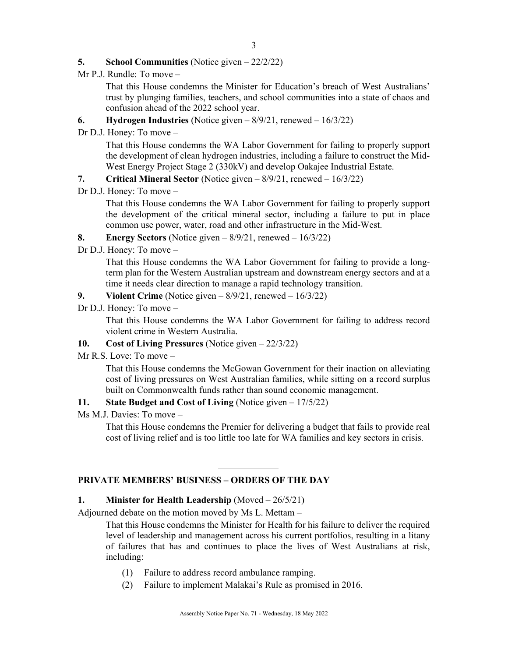#### **5. School Communities** (Notice given – 22/2/22)

Mr P.J. Rundle: To move –

That this House condemns the Minister for Education's breach of West Australians' trust by plunging families, teachers, and school communities into a state of chaos and confusion ahead of the 2022 school year.

- **6. Hydrogen Industries** (Notice given 8/9/21, renewed 16/3/22)
- Dr D.J. Honey: To move –

That this House condemns the WA Labor Government for failing to properly support the development of clean hydrogen industries, including a failure to construct the Mid-West Energy Project Stage 2 (330kV) and develop Oakajee Industrial Estate.

- **7. Critical Mineral Sector** (Notice given 8/9/21, renewed 16/3/22)
- Dr D.J. Honey: To move –

That this House condemns the WA Labor Government for failing to properly support the development of the critical mineral sector, including a failure to put in place common use power, water, road and other infrastructure in the Mid-West.

### **8. Energy Sectors** (Notice given – 8/9/21, renewed – 16/3/22)

Dr D.J. Honey: To move –

That this House condemns the WA Labor Government for failing to provide a longterm plan for the Western Australian upstream and downstream energy sectors and at a time it needs clear direction to manage a rapid technology transition.

- **9. Violent Crime** (Notice given 8/9/21, renewed 16/3/22)
- Dr D.J. Honey: To move –

That this House condemns the WA Labor Government for failing to address record violent crime in Western Australia.

#### **10. Cost of Living Pressures** (Notice given – 22/3/22)

Mr R.S. Love: To move –

That this House condemns the McGowan Government for their inaction on alleviating cost of living pressures on West Australian families, while sitting on a record surplus built on Commonwealth funds rather than sound economic management.

### **11. State Budget and Cost of Living** (Notice given – 17/5/22)

Ms M.J. Davies: To move –

That this House condemns the Premier for delivering a budget that fails to provide real cost of living relief and is too little too late for WA families and key sectors in crisis.

### **PRIVATE MEMBERS' BUSINESS – ORDERS OF THE DAY**

#### **1. Minister for Health Leadership** (Moved – 26/5/21)

Adjourned debate on the motion moved by Ms L. Mettam –

That this House condemns the Minister for Health for his failure to deliver the required level of leadership and management across his current portfolios, resulting in a litany of failures that has and continues to place the lives of West Australians at risk, including:

- (1) Failure to address record ambulance ramping.
- (2) Failure to implement Malakai's Rule as promised in 2016.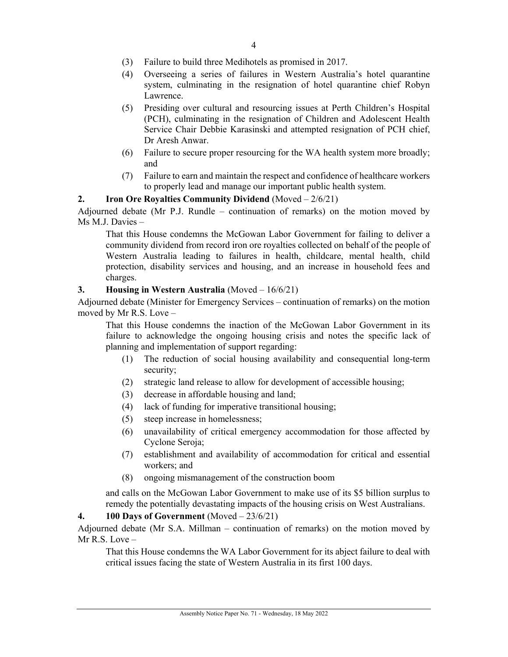- (3) Failure to build three Medihotels as promised in 2017.
- (4) Overseeing a series of failures in Western Australia's hotel quarantine system, culminating in the resignation of hotel quarantine chief Robyn Lawrence.
- (5) Presiding over cultural and resourcing issues at Perth Children's Hospital (PCH), culminating in the resignation of Children and Adolescent Health Service Chair Debbie Karasinski and attempted resignation of PCH chief, Dr Aresh Anwar.
- (6) Failure to secure proper resourcing for the WA health system more broadly; and
- (7) Failure to earn and maintain the respect and confidence of healthcare workers to properly lead and manage our important public health system.

#### **2. Iron Ore Royalties Community Dividend** (Moved – 2/6/21)

Adjourned debate (Mr P.J. Rundle – continuation of remarks) on the motion moved by Ms M.J. Davies –

That this House condemns the McGowan Labor Government for failing to deliver a community dividend from record iron ore royalties collected on behalf of the people of Western Australia leading to failures in health, childcare, mental health, child protection, disability services and housing, and an increase in household fees and charges.

#### **3. Housing in Western Australia** (Moved – 16/6/21)

Adjourned debate (Minister for Emergency Services – continuation of remarks) on the motion moved by Mr R.S. Love –

That this House condemns the inaction of the McGowan Labor Government in its failure to acknowledge the ongoing housing crisis and notes the specific lack of planning and implementation of support regarding:

- (1) The reduction of social housing availability and consequential long-term security;
- (2) strategic land release to allow for development of accessible housing;
- (3) decrease in affordable housing and land;
- (4) lack of funding for imperative transitional housing;
- (5) steep increase in homelessness;
- (6) unavailability of critical emergency accommodation for those affected by Cyclone Seroja;
- (7) establishment and availability of accommodation for critical and essential workers; and
- (8) ongoing mismanagement of the construction boom

and calls on the McGowan Labor Government to make use of its \$5 billion surplus to remedy the potentially devastating impacts of the housing crisis on West Australians.

#### **4. 100 Days of Government** (Moved – 23/6/21)

Adjourned debate (Mr S.A. Millman – continuation of remarks) on the motion moved by  $Mr R.S. Love -$ 

That this House condemns the WA Labor Government for its abject failure to deal with critical issues facing the state of Western Australia in its first 100 days.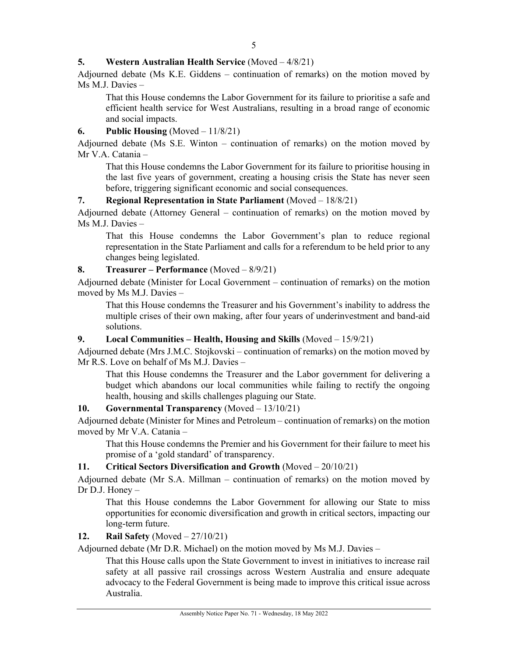### **5. Western Australian Health Service** (Moved – 4/8/21)

Adjourned debate (Ms K.E. Giddens – continuation of remarks) on the motion moved by Ms M.J. Davies –

That this House condemns the Labor Government for its failure to prioritise a safe and efficient health service for West Australians, resulting in a broad range of economic and social impacts.

#### **6. Public Housing** (Moved – 11/8/21)

Adjourned debate (Ms S.E. Winton – continuation of remarks) on the motion moved by Mr V.A. Catania –

That this House condemns the Labor Government for its failure to prioritise housing in the last five years of government, creating a housing crisis the State has never seen before, triggering significant economic and social consequences.

### **7. Regional Representation in State Parliament** (Moved – 18/8/21)

Adjourned debate (Attorney General – continuation of remarks) on the motion moved by Ms M.J. Davies –

That this House condemns the Labor Government's plan to reduce regional representation in the State Parliament and calls for a referendum to be held prior to any changes being legislated.

### **8. Treasurer – Performance** (Moved – 8/9/21)

Adjourned debate (Minister for Local Government – continuation of remarks) on the motion moved by Ms M.J. Davies –

That this House condemns the Treasurer and his Government's inability to address the multiple crises of their own making, after four years of underinvestment and band-aid solutions.

### **9. Local Communities – Health, Housing and Skills** (Moved – 15/9/21)

Adjourned debate (Mrs J.M.C. Stojkovski – continuation of remarks) on the motion moved by Mr R.S. Love on behalf of Ms M.J. Davies –

That this House condemns the Treasurer and the Labor government for delivering a budget which abandons our local communities while failing to rectify the ongoing health, housing and skills challenges plaguing our State.

#### **10. Governmental Transparency** (Moved – 13/10/21)

Adjourned debate (Minister for Mines and Petroleum – continuation of remarks) on the motion moved by Mr V.A. Catania –

That this House condemns the Premier and his Government for their failure to meet his promise of a 'gold standard' of transparency.

#### **11. Critical Sectors Diversification and Growth** (Moved – 20/10/21)

Adjourned debate (Mr S.A. Millman – continuation of remarks) on the motion moved by Dr D.J. Honey –

That this House condemns the Labor Government for allowing our State to miss opportunities for economic diversification and growth in critical sectors, impacting our long-term future.

#### **12. Rail Safety** (Moved – 27/10/21)

Adjourned debate (Mr D.R. Michael) on the motion moved by Ms M.J. Davies –

That this House calls upon the State Government to invest in initiatives to increase rail safety at all passive rail crossings across Western Australia and ensure adequate advocacy to the Federal Government is being made to improve this critical issue across Australia.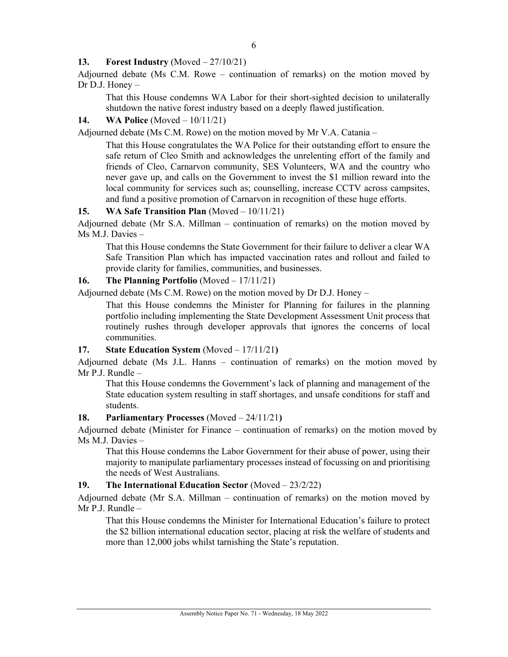### **13. Forest Industry** (Moved – 27/10/21)

Adjourned debate (Ms C.M. Rowe – continuation of remarks) on the motion moved by Dr D.J. Honey –

That this House condemns WA Labor for their short-sighted decision to unilaterally shutdown the native forest industry based on a deeply flawed justification.

### **14. WA Police** (Moved – 10/11/21)

Adjourned debate (Ms C.M. Rowe) on the motion moved by Mr V.A. Catania –

That this House congratulates the WA Police for their outstanding effort to ensure the safe return of Cleo Smith and acknowledges the unrelenting effort of the family and friends of Cleo, Carnarvon community, SES Volunteers, WA and the country who never gave up, and calls on the Government to invest the \$1 million reward into the local community for services such as; counselling, increase CCTV across campsites, and fund a positive promotion of Carnarvon in recognition of these huge efforts.

### **15. WA Safe Transition Plan** (Moved – 10/11/21)

Adjourned debate (Mr S.A. Millman – continuation of remarks) on the motion moved by Ms M.J. Davies –

That this House condemns the State Government for their failure to deliver a clear WA Safe Transition Plan which has impacted vaccination rates and rollout and failed to provide clarity for families, communities, and businesses.

### **16. The Planning Portfolio** (Moved – 17/11/21)

Adjourned debate (Ms C.M. Rowe) on the motion moved by Dr D.J. Honey –

That this House condemns the Minister for Planning for failures in the planning portfolio including implementing the State Development Assessment Unit process that routinely rushes through developer approvals that ignores the concerns of local communities.

#### **17. State Education System** (Moved – 17/11/21**)**

Adjourned debate (Ms J.L. Hanns – continuation of remarks) on the motion moved by Mr P.J. Rundle –

That this House condemns the Government's lack of planning and management of the State education system resulting in staff shortages, and unsafe conditions for staff and students.

#### **18. Parliamentary Processes** (Moved – 24/11/21**)**

Adjourned debate (Minister for Finance – continuation of remarks) on the motion moved by Ms M.J. Davies –

That this House condemns the Labor Government for their abuse of power, using their majority to manipulate parliamentary processes instead of focussing on and prioritising the needs of West Australians.

#### **19. The International Education Sector** (Moved – 23/2/22)

Adjourned debate (Mr S.A. Millman – continuation of remarks) on the motion moved by Mr P.J. Rundle –

That this House condemns the Minister for International Education's failure to protect the \$2 billion international education sector, placing at risk the welfare of students and more than 12,000 jobs whilst tarnishing the State's reputation.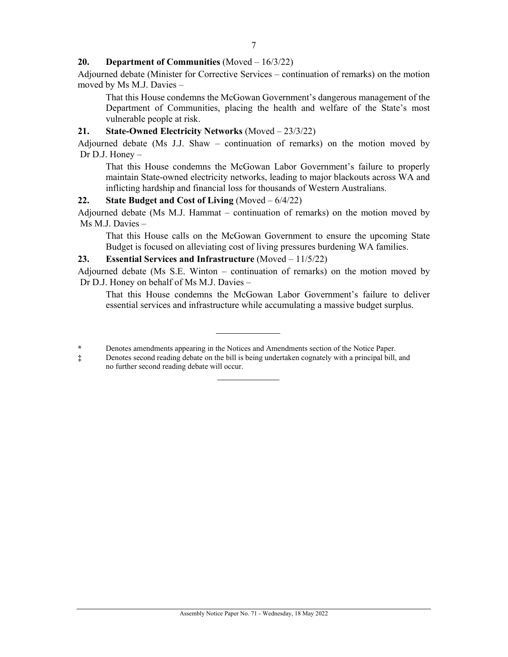#### **20. Department of Communities** (Moved – 16/3/22)

Adjourned debate (Minister for Corrective Services – continuation of remarks) on the motion moved by Ms M.J. Davies –

That this House condemns the McGowan Government's dangerous management of the Department of Communities, placing the health and welfare of the State's most vulnerable people at risk.

#### **21. State-Owned Electricity Networks** (Moved – 23/3/22)

Adjourned debate (Ms J.J. Shaw – continuation of remarks) on the motion moved by Dr D.J. Honey –

That this House condemns the McGowan Labor Government's failure to properly maintain State-owned electricity networks, leading to major blackouts across WA and inflicting hardship and financial loss for thousands of Western Australians.

#### **22. State Budget and Cost of Living** (Moved – 6/4/22)

Adjourned debate (Ms M.J. Hammat – continuation of remarks) on the motion moved by Ms M.J. Davies –

That this House calls on the McGowan Government to ensure the upcoming State Budget is focused on alleviating cost of living pressures burdening WA families.

#### **23. Essential Services and Infrastructure** (Moved – 11/5/22)

Adjourned debate (Ms S.E. Winton – continuation of remarks) on the motion moved by Dr D.J. Honey on behalf of Ms M.J. Davies –

That this House condemns the McGowan Labor Government's failure to deliver essential services and infrastructure while accumulating a massive budget surplus.

**<sup>\*</sup>** Denotes amendments appearing in the Notices and Amendments section of the Notice Paper.

**<sup>‡</sup>** Denotes second reading debate on the bill is being undertaken cognately with a principal bill, and no further second reading debate will occur.